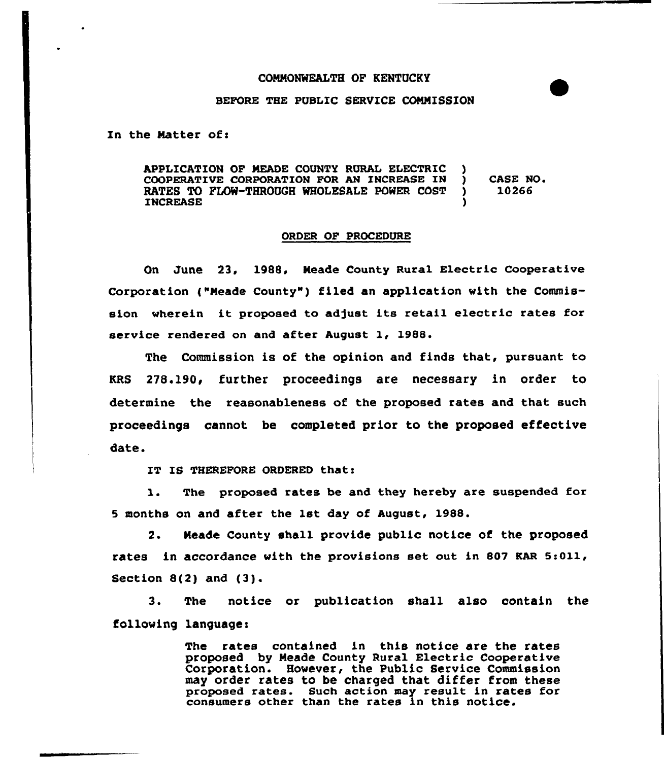#### COMMONWEALTH OF KENTUCKY



In the Matter of:

APPLICATION OF MEADE COUNTY RURAL ELECTRIC )<br>COOPERATIVE CORPORATION FOR AN INCREASE IN ) COOPERATIVE CORPORATION FOR AN INCREASE IN )<br>RATES TO FLOW-THROUGH WHOLESALE POWER COST ) RATES TO FLOW-THROUGH WHOLESALE POWER COST **INCREASE** CASE NO 10266

#### ORDER OF PROCEDURE

On June 23, 1988, Meade County Ruxal Electric Cooperative Corporation ("Meade County") filed an application with the Commission whexein it proposed to adjust its retail electric xates for service rendered on and after August 1, 1988.

The Commission is of the opinion and finds that, pursuant to KRS 278.190, further proceedings are necessary in order to determine the reasonableness of the proposed rates and that such proceedings cannot be completed prior to the proposed effective date.

IT IS THEREFORE ORDERED that:

1. The proposed rates be and they hereby are suspended for <sup>5</sup> months on and after the 1st day of August, 1988.

2. Meade County shall provide public notice of the proposed rates in accordance with the provisions set out in 807 KAR 5:011, Section 8(2) and (3).

3. The notice or publication shall also contain the following language:

> The rates contained in this notice are the rates proposed by Neade County Rural Electric Cooperative Corporation. However, the Public Service Commission may order rates to be charged that differ from these proposed rates. Such action may result in rates for consumers other than the rates in this notice.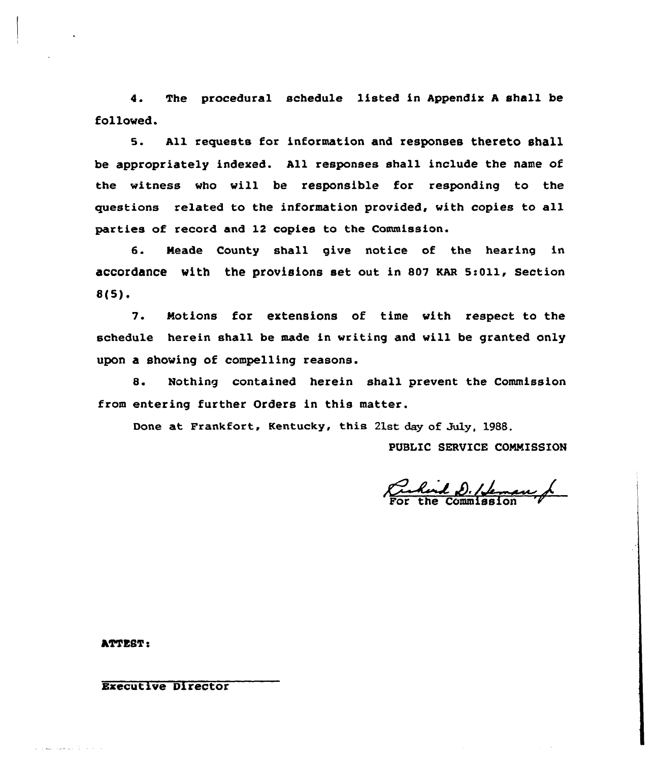4. The procedural schedule listed in Appendix <sup>A</sup> shall be followed.

s. All requests for information and responses thereto sha11 be appropriately indexed. All responses shall include the name of the witness vho vill be responsible for responding to the questions related to the information provided, vith copies to all parties of record and 12 copies to the Commission.

6. Meade County shall give notice of the hearing in accordance with the provisions set out in 807 KAR 5:011, Section  $8(5)$ .

7. Motions for extensions of time vith respect to the schedule herein shall be made in writing and vill be granted only upon a showing of compelling reasons.

8. Nothing contained herein shall prevent the Commission from entering further Orders in this matter.

Done at Frankfort, Kentucky, this 21st day of July, 1988.

PUBLIC SERVICE COMMISSION

Rend D. / Jeman,

ATTEST <sup>e</sup>

and the control of the con-

## Executive Director